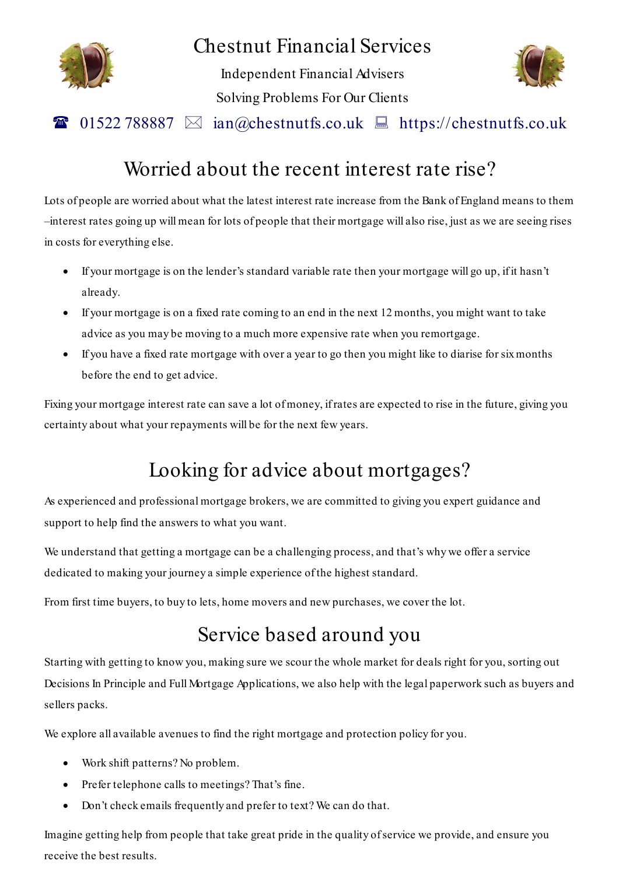

### Chestnut Financial Services

Independent Financial Advisers Solving Problems For Our Clients



### 01522 788887  $\boxtimes$  ian@chestnutfs.co.uk  $\Box$  https://chestnutfs.co.uk

### Worried about the recent interest rate rise?

Lots of people are worried about what the latest interest rate increase from the Bank of England means to them –interest rates going up will mean for lots of people that their mortgage will also rise, just as we are seeing rises in costs for everything else.

- If your mortgage is on the lender's standard variable rate then your mortgage will go up, if it hasn't already.
- If your mortgage is on a fixed rate coming to an end in the next 12 months, you might want to take advice as you may be moving to a much more expensive rate when you remortgage.
- If you have a fixed rate mortgage with over a year to go then you might like to diarise for six months before the end to get advice.

Fixing your mortgage interest rate can save a lot of money, ifrates are expected to rise in the future, giving you certainty about what your repayments will be for the next few years.

# Looking for advice about mortgages?

As experienced and professional mortgage brokers, we are committed to giving you expert guidance and support to help find the answers to what you want.

We understand that getting a mortgage can be a challenging process, and that's why we offer a service dedicated to making your journey a simple experience of the highest standard.

From first time buyers, to buy to lets, home movers and new purchases, we cover the lot.

## Service based around you

Starting with getting to know you, making sure we scour the whole market for deals right for you, sorting out Decisions In Principle and Full Mortgage Applications, we also help with the legal paperwork such as buyers and sellers packs.

We explore all available avenues to find the right mortgage and protection policy for you.

- Work shift patterns? No problem.
- Prefer telephone calls to meetings? That's fine.
- Don't check emails frequently and prefer to text? We can do that.

Imagine getting help from people that take great pride in the quality of service we provide, and ensure you receive the best results.